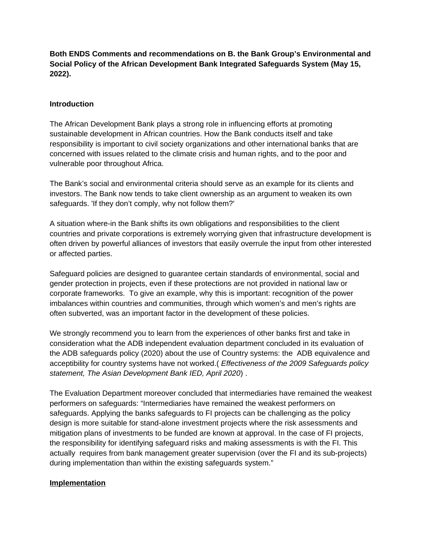**Both ENDS Comments and recommendations on B. the Bank Group's Environmental and Social Policy of the African Development Bank Integrated Safeguards System (May 15, 2022).**

## **Introduction**

The African Development Bank plays a strong role in influencing efforts at promoting sustainable development in African countries. How the Bank conducts itself and take responsibility is important to civil society organizations and other international banks that are concerned with issues related to the climate crisis and human rights, and to the poor and vulnerable poor throughout Africa.

The Bank's social and environmental criteria should serve as an example for its clients and investors. The Bank now tends to take client ownership as an argument to weaken its own safeguards. 'If they don't comply, why not follow them?'

A situation where-in the Bank shifts its own obligations and responsibilities to the client countries and private corporations is extremely worrying given that infrastructure development is often driven by powerful alliances of investors that easily overrule the input from other interested or affected parties.

Safeguard policies are designed to guarantee certain standards of environmental, social and gender protection in projects, even if these protections are not provided in national law or corporate frameworks. To give an example, why this is important: recognition of the power imbalances within countries and communities, through which women's and men's rights are often subverted, was an important factor in the development of these policies.

We strongly recommend you to learn from the experiences of other banks first and take in consideration what the ADB independent evaluation department concluded in its evaluation of the ADB safeguards policy (2020) about the use of Country systems: the ADB equivalence and acceptibility for country systems have not worked.( *Effectiveness of the 2009 Safeguards policy statement, The Asian Development Bank IED, April 2020*) .

The Evaluation Department moreover concluded that intermediaries have remained the weakest performers on safeguards: "Intermediaries have remained the weakest performers on safeguards. Applying the banks safeguards to FI projects can be challenging as the policy design is more suitable for stand-alone investment projects where the risk assessments and mitigation plans of investments to be funded are known at approval. In the case of FI projects, the responsibility for identifying safeguard risks and making assessments is with the FI. This actually requires from bank management greater supervision (over the FI and its sub-projects) during implementation than within the existing safeguards system."

## **Implementation**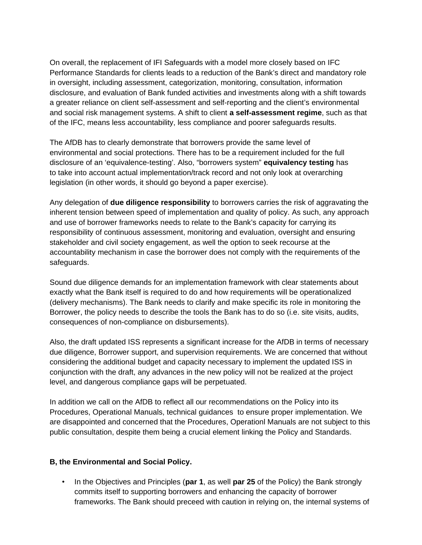On overall, the replacement of IFI Safeguards with a model more closely based on IFC Performance Standards for clients leads to a reduction of the Bank's direct and mandatory role in oversight, including assessment, categorization, monitoring, consultation, information disclosure, and evaluation of Bank funded activities and investments along with a shift towards a greater reliance on client self-assessment and self-reporting and the client's environmental and social risk management systems. A shift to client **a self-assessment regime**, such as that of the IFC, means less accountability, less compliance and poorer safeguards results.

The AfDB has to clearly demonstrate that borrowers provide the same level of environmental and social protections. There has to be a requirement included for the full disclosure of an 'equivalence-testing'. Also, "borrowers system" **equivalency testing** has to take into account actual implementation/track record and not only look at overarching legislation (in other words, it should go beyond a paper exercise).

Any delegation of **due diligence responsibility** to borrowers carries the risk of aggravating the inherent tension between speed of implementation and quality of policy. As such, any approach and use of borrower frameworks needs to relate to the Bank's capacity for carrying its responsibility of continuous assessment, monitoring and evaluation, oversight and ensuring stakeholder and civil society engagement, as well the option to seek recourse at the accountability mechanism in case the borrower does not comply with the requirements of the safeguards.

Sound due diligence demands for an implementation framework with clear statements about exactly what the Bank itself is required to do and how requirements will be operationalized (delivery mechanisms). The Bank needs to clarify and make specific its role in monitoring the Borrower, the policy needs to describe the tools the Bank has to do so (i.e. site visits, audits, consequences of non-compliance on disbursements).

Also, the draft updated ISS represents a significant increase for the AfDB in terms of necessary due diligence, Borrower support, and supervision requirements. We are concerned that without considering the additional budget and capacity necessary to implement the updated ISS in conjunction with the draft, any advances in the new policy will not be realized at the project level, and dangerous compliance gaps will be perpetuated.

In addition we call on the AfDB to reflect all our recommendations on the Policy into its Procedures, Operational Manuals, technical guidances to ensure proper implementation. We are disappointed and concerned that the Procedures, Operationl Manuals are not subject to this public consultation, despite them being a crucial element linking the Policy and Standards.

## **B, the Environmental and Social Policy.**

• In the Objectives and Principles (**par 1**, as well **par 25** of the Policy) the Bank strongly commits itself to supporting borrowers and enhancing the capacity of borrower frameworks. The Bank should preceed with caution in relying on, the internal systems of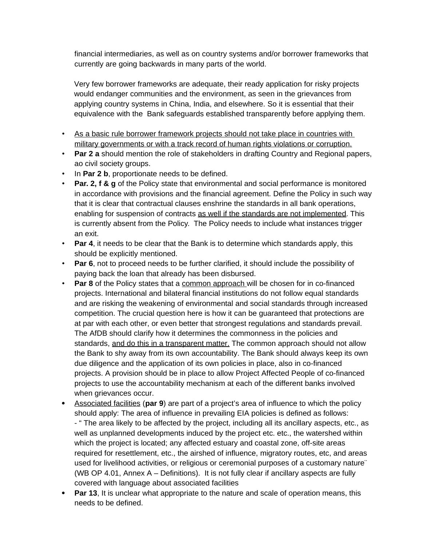financial intermediaries, as well as on country systems and/or borrower frameworks that currently are going backwards in many parts of the world.

Very few borrower frameworks are adequate, their ready application for risky projects would endanger communities and the environment, as seen in the grievances from applying country systems in China, India, and elsewhere. So it is essential that their equivalence with the Bank safeguards established transparently before applying them.

- As a basic rule borrower framework projects should not take place in countries with military governments or with a track record of human rights violations or corruption.
- **Par 2 a** should mention the role of stakeholders in drafting Country and Regional papers, ao civil society groups.
- In **Par 2 b**, proportionate needs to be defined.
- **Par. 2, f & g** of the Policy state that environmental and social performance is monitored in accordance with provisions and the financial agreement. Define the Policy in such way that it is clear that contractual clauses enshrine the standards in all bank operations, enabling for suspension of contracts as well if the standards are not implemented. This is currently absent from the Policy. The Policy needs to include what instances trigger an exit.
- **Par 4**, it needs to be clear that the Bank is to determine which standards apply, this should be explicitly mentioned.
- **Par 6**, not to proceed needs to be further clarified, it should include the possibility of paying back the loan that already has been disbursed.
- **Par 8** of the Policy states that a common approach will be chosen for in co-financed projects. International and bilateral financial institutions do not follow equal standards and are risking the weakening of environmental and social standards through increased competition. The crucial question here is how it can be guaranteed that protections are at par with each other, or even better that strongest regulations and standards prevail. The AfDB should clarify how it determines the commonness in the policies and standards, and do this in a transparent matter. The common approach should not allow the Bank to shy away from its own accountability. The Bank should always keep its own due diligence and the application of its own policies in place, also in co-financed projects. A provision should be in place to allow Project Affected People of co-financed projects to use the accountability mechanism at each of the different banks involved when grievances occur.
- Associated facilities (**par 9**) are part of a project's area of influence to which the policy should apply: The area of influence in prevailing EIA policies is defined as follows: - " The area likely to be affected by the project, including all its ancillary aspects, etc., as well as unplanned developments induced by the project etc. etc., the watershed within which the project is located; any affected estuary and coastal zone, off-site areas required for resettlement, etc., the airshed of influence, migratory routes, etc, and areas used for livelihood activities, or religious or ceremonial purposes of a customary nature¨ (WB OP 4.01, Annex A – Definitions). It is not fully clear if ancillary aspects are fully covered with language about associated facilities
- **Par 13**, It is unclear what appropriate to the nature and scale of operation means, this needs to be defined.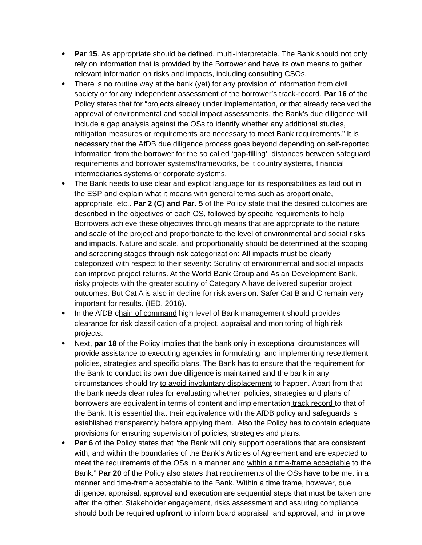- **Par 15**. As appropriate should be defined, multi-interpretable. The Bank should not only rely on information that is provided by the Borrower and have its own means to gather relevant information on risks and impacts, including consulting CSOs.
- There is no routine way at the bank (yet) for any provision of information from civil society or for any independent assessment of the borrower's track-record. **Par 16** of the Policy states that for "projects already under implementation, or that already received the approval of environmental and social impact assessments, the Bank's due diligence will include a gap analysis against the OSs to identify whether any additional studies, mitigation measures or requirements are necessary to meet Bank requirements." It is necessary that the AfDB due diligence process goes beyond depending on self-reported information from the borrower for the so called 'gap-filling' distances between safeguard requirements and borrower systems/frameworks, be it country systems, financial intermediaries systems or corporate systems.
- The Bank needs to use clear and explicit language for its responsibilities as laid out in the ESP and explain what it means with general terms such as proportionate, appropriate, etc.. **Par 2 (C) and Par. 5** of the Policy state that the desired outcomes are described in the objectives of each OS, followed by specific requirements to help Borrowers achieve these objectives through means that are appropriate to the nature and scale of the project and proportionate to the level of environmental and social risks and impacts. Nature and scale, and proportionality should be determined at the scoping and screening stages through risk categorization: All impacts must be clearly categorized with respect to their severity: Scrutiny of environmental and social impacts can improve project returns. At the World Bank Group and Asian Development Bank, risky projects with the greater scutiny of Category A have delivered superior project outcomes. But Cat A is also in decline for risk aversion. Safer Cat B and C remain very important for results. (IED, 2016).
- In the AfDB chain of command high level of Bank management should provides clearance for risk classification of a project, appraisal and monitoring of high risk projects.
- Next, **par 18** of the Policy implies that the bank only in exceptional circumstances will provide assistance to executing agencies in formulating and implementing resettlement policies, strategies and specific plans. The Bank has to ensure that the requirement for the Bank to conduct its own due diligence is maintained and the bank in any circumstances should try to avoid involuntary displacement to happen. Apart from that the bank needs clear rules for evaluating whether policies, strategies and plans of borrowers are equivalent in terms of content and implementation track record to that of the Bank. It is essential that their equivalence with the AfDB policy and safeguards is established transparently before applying them. Also the Policy has to contain adequate provisions for ensuring supervision of policies, strategies and plans.
- **Par 6** of the Policy states that "the Bank will only support operations that are consistent with, and within the boundaries of the Bank's Articles of Agreement and are expected to meet the requirements of the OSs in a manner and within a time-frame acceptable to the Bank." **Par 20** of the Policy also states that requirements of the OSs have to be met in a manner and time-frame acceptable to the Bank. Within a time frame, however, due diligence, appraisal, approval and execution are sequential steps that must be taken one after the other. Stakeholder engagement, risks assessment and assuring compliance should both be required **upfront** to inform board appraisal and approval, and improve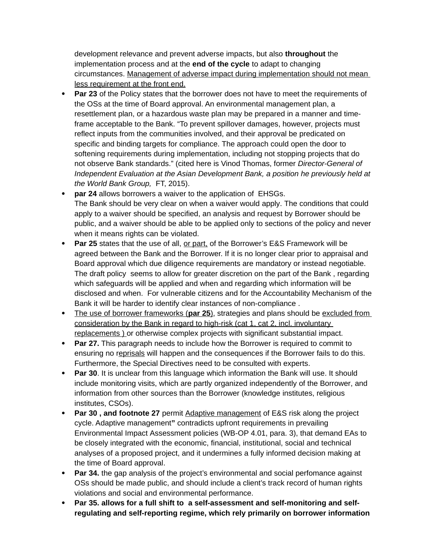development relevance and prevent adverse impacts, but also **throughout** the implementation process and at the **end of the cycle** to adapt to changing circumstances. Management of adverse impact during implementation should not mean less requirement at the front end.

- **Par 23** of the Policy states that the borrower does not have to meet the requirements of the OSs at the time of Board approval. An environmental management plan, a resettlement plan, or a hazardous waste plan may be prepared in a manner and timeframe acceptable to the Bank. "To prevent spillover damages, however, projects must reflect inputs from the communities involved, and their approval be predicated on specific and binding targets for compliance. The approach could open the door to softening requirements during implementation, including not stopping projects that do not observe Bank standards." (cited here is Vinod Thomas, former *Director-General of Independent Evaluation at the Asian Development Bank, a position he previously held at the World Bank Group,* FT, 2015).
- **par 24** allows borrowers a waiver to the application of EHSGs. The Bank should be very clear on when a waiver would apply. The conditions that could apply to a waiver should be specified, an analysis and request by Borrower should be public, and a waiver should be able to be applied only to sections of the policy and never when it means rights can be violated.
- **Par 25** states that the use of all, or part, of the Borrower's E&S Framework will be agreed between the Bank and the Borrower. If it is no longer clear prior to appraisal and Board approval which due diligence requirements are mandatory or instead negotiable. The draft policy seems to allow for greater discretion on the part of the Bank , regarding which safeguards will be applied and when and regarding which information will be disclosed and when. For vulnerable citizens and for the Accountability Mechanism of the Bank it will be harder to identify clear instances of non-compliance .
- The use of borrower frameworks (par 25), strategies and plans should be excluded from consideration by the Bank in regard to high-risk (cat 1, cat 2, incl. involuntary replacements ) or otherwise complex projects with significant substantial impact.
- **Par 27.** This paragraph needs to include how the Borrower is required to commit to ensuring no reprisals will happen and the consequences if the Borrower fails to do this. Furthermore, the Special Directives need to be consulted with experts.
- **Par 30**. It is unclear from this language which information the Bank will use. It should include monitoring visits, which are partly organized independently of the Borrower, and information from other sources than the Borrower (knowledge institutes, religious institutes, CSOs).
- **Par 30, and footnote 27** permit Adaptive management of E&S risk along the project cycle. Adaptive management**"** contradicts upfront requirements in prevailing Environmental Impact Assessment policies (WB-OP 4.01, para. 3), that demand EAs to be closely integrated with the economic, financial, institutional, social and technical analyses of a proposed project, and it undermines a fully informed decision making at the time of Board approval.
- Par 34. the gap analysis of the project's environmental and social perfomance against OSs should be made public, and should include a client's track record of human rights violations and social and environmental performance.
- **Par 35. allows for a full shift to a self-assessment and self-monitoring and selfregulating and self-reporting regime, which rely primarily on borrower information**